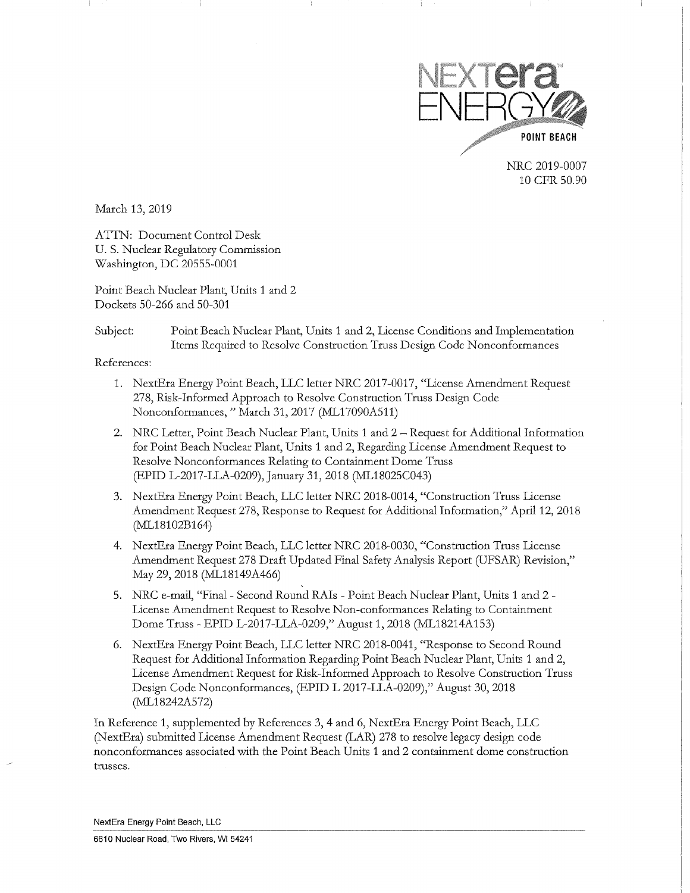

NRC 2019-0007 10 CFR 50.90

March 13,2019

ATTN: Document Control Desk U.S. Nuclear Regulatory Commission Washington, DC 20555-0001

Point Beach Nuclear Plant, Units 1 and 2 Dockets 50-266 and 50-301

### Subject: Point Beach Nuclear Plant, Units 1 and 2, License Conditions and Implementation Items Required to Resolve Construction Truss Design Code Nonconformances

References:

- 1. NextEra Energy Point Beach, LLC letter NRC 2017-0017, "License Amendment Request 278, Risk-Informed Approach to Resolve Construction Truss Design Code Nonconformances," March 31, 2017 (ML17090A511)
- 2. NRC Letter, Point Beach Nuclear Plant, Units 1 and 2 Request for Additional Information for Point Beach Nuclear Plant, Units 1 and 2, Regarding License Amendment Request to Resolve Nonconformances Relating to Containment Dome Truss (EPID L-2017-LLA-0209), January 31, 2018 (ML18025C043)
- 3. NextEra Energy Point Beach, LLC letter NRC 2018-0014, "Construction Truss License Amendment Request 278, Response to Request for Additional Information," April 12, 2018 (ML18102B164)
- 4. NextEra Energy Point Beach, LLC letter NRC 2018-0030, "Construction Truss License Amendment Request 278 Draft Updated Final Safety Analysis Report (UFSAR) Revision," May 29,2018 (ML18149A466)
- 5. NRC e-mail, "Final- Second Round RAis Point Beach Nuclear Plant, Units 1 and 2 License Amendment Request to Resolve Non-conformances Relating to Containment Dome Truss- EPID L-2017-LLA-0209," August 1, 2018 (ML18214A153)
- 6. NextEra Energy Point Beach, LLC letter NRC 2018-0041, "Response to Second Round Request for Additional Information Regarding Point Beach Nuclear Plant, Units 1 and 2, License Amendment Request for Risk-Informed Approach to Resolve Construction Truss Design Code Nonconformances, (EPID L 2017-LLA-0209)," August 30,2018 (ML18242A572)

In Reference 1, supplemented by References 3, 4 and 6, NextEra Energy Point Beach, LLC (NextEra) submitted License Amendment Request (LAR) 278 to resolve legacy design code nonconformances associated with the Point Beach Units 1 and 2 containment dome construction trusses.

NextEra Energy Point Beach, LLC

6610 Nuclear Road, Two Rivers, WI 54241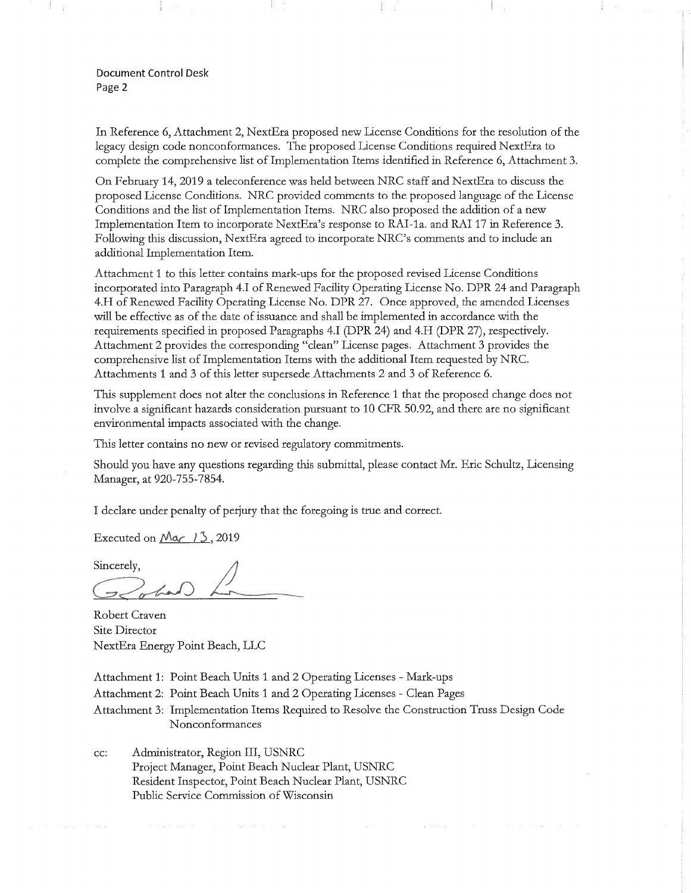Document Control Desk Page 2

In Reference 6, Attachment 2, NextEra proposed new License Conditions for the resolution of the legacy design code nonconformances. The proposed License Conditions required NextEra to complete the comprehensive list of Implementation Items identified in Reference 6, Attachment 3.

On February 14, 2019 a teleconference was held between NRC staff and NextEra to discuss the proposed License Conditions. NRC provided comments to the proposed language of the License Conditions and the list of Implementation Items. NRC also proposed the addition of a new Implementation Item to incorporate NextEra's response to RAI-1a. and RAI 17 in Reference 3. Following this discussion, NextEra agreed to incorporate NRC's comments and to include an additional Implementation Item.

Attachment 1 to this letter contains mark-ups for the proposed revised License Conditions incorporated into Paragraph 4.I of Renewed Facility Operating License No. DPR 24 and Paragraph 4.H of Renewed Facility Operating License No. DPR 27. Once approved, the amended Licenses will be effective as of the date of issuance and shall be implemented in accordance with the requirements specified in proposed Paragraphs 4.I (DPR 24) and 4.H (DPR 27), respectively. Attachment 2 provides the corresponding "clean" License pages. Attachment 3 provides the comprehensive list of Implementation Items with the additional Item requested by NRC. Attachments 1 and 3 of this letter supersede Attachments 2 and 3 of Reference 6.

This supplement does not alter the conclusions in Reference 1 that the proposed change does not involve a significant hazards consideration pursuant to 10 CFR 50.92, and there are no significant environmental impacts associated with the change.

This letter contains no new or revised regulatory commitments.

Should you have any questions regarding this submittal, please contact Mr. Eric Schultz, Licensing Manager, at 920-755-7854.

I declare under penalty of perjury that the foregoing is true and correct.

Executed on  $\mathcal{M}\alpha$  /  $\mathcal{S}$ , 2019

Sincerely.

Robert Craven Site Director NextEra Energy Point Beach, LLC

Attachment 1: Point Beach Units 1 and 2 Operating Licenses- Mark-ups

Attachment 2: Point Beach Units 1 and 2 Operating Licenses - Clean Pages

Attachment 3: Implementation Items Required to Resolve the Construction Truss Design Code Nonconformances

cc: Administrator, Region III, USNRC Project Manager, Point Beach Nuclear Plant, USNRC Resident Inspector, Point Beach Nuclear Plant, USNRC Public Service Commission of Wisconsin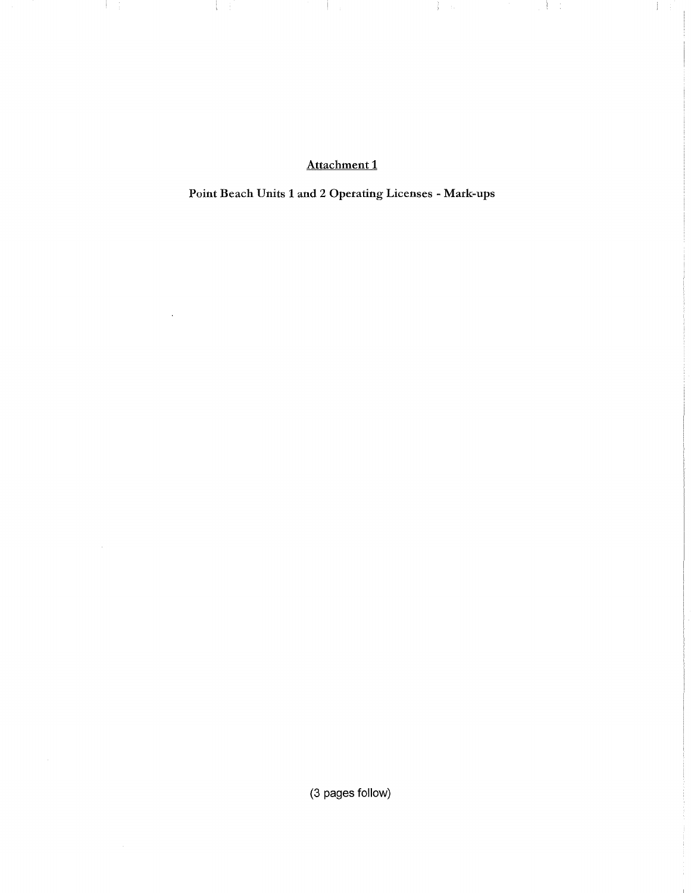Attachment 1

**The Latin Common** 

 $\label{eq:3} \frac{1}{2} \left( \begin{array}{ccc} 1 & 0 & 0 & 0 & 0 & 0 \\ 0 & 0 & 0 & 0 & 0 \\ 0 & 0 & 0 & 0 & 0 \\ 0 & 0 & 0 & 0 & 0 \\ 0 & 0 & 0 & 0 & 0 \\ 0 & 0 & 0 & 0 & 0 \\ 0 & 0 & 0 & 0 & 0 \\ 0 & 0 & 0 & 0 & 0 \\ 0 & 0 & 0 & 0 & 0 \\ 0 & 0 & 0 & 0 & 0 \\ 0 & 0 & 0 & 0 & 0 \\ 0 & 0 & 0 & 0 & 0 & 0 \\ 0 & 0 & 0 &$ 

 $\mathbb{R}^2$ 

 $\mathcal{A} \subset \mathcal{I}$ 

 $\mathcal{A} \subset \mathbb{R}^n$ 

Point Beach Units 1 and 2 Operating Licenses- Mark-ups

(3 pages follow)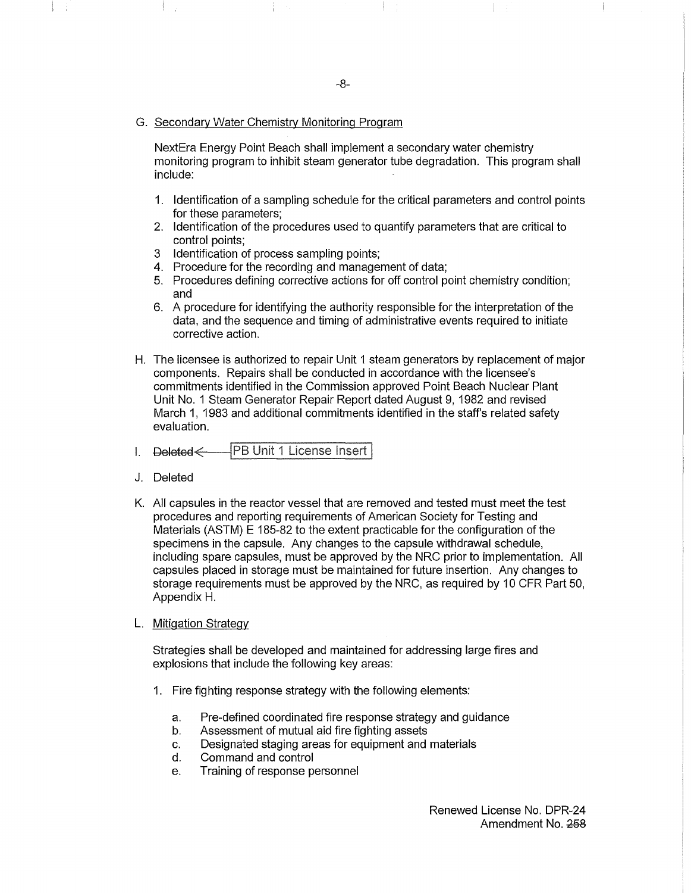#### G. Secondary Water Chemistry Monitoring Program

NextEra Energy Point Beach shall implement a secondary water chemistry monitoring program to inhibit steam generator tube degradation. This program shall include:

- 1. Identification of a sampling schedule for the critical parameters and control points for these parameters;
- 2. Identification of the procedures used to quantify parameters that are critical to control points;
- 3 Identification of process sampling points;
- 4. Procedure for the recording and management of data;
- 5. Procedures defining corrective actions for off control point chemistry condition; and
- 6. A procedure for identifying the authority responsible for the interpretation of the data, and the sequence and timing of administrative events required to initiate corrective action.
- H. The licensee is authorized to repair Unit 1 steam generators by replacement of major components. Repairs shall be conducted in accordance with the licensee's commitments identified in the Commission approved Point Beach Nuclear Plant Unit No. 1 Steam Generator Repair Report dated August 9, 1982 and revised March 1, 1983 and additional commitments identified in the staff's related safety evaluation.
- │PB Unit 1 License Insert │ I.
- J. Deleted
- K. All capsules in the reactor vessel that are removed and tested must meet the test procedures and reporting requirements of American Society for Testing and Materials (ASTM) E 185-82 to the extent practicable for the configuration of the specimens in the capsule. Any changes to the capsule withdrawal schedule, including spare capsules, must be approved by the NRC prior to implementation. All capsules placed in storage must be maintained for future insertion. Any changes to storage requirements must be approved by the NRC, as required by 10 CFR Part 50, Appendix H.
- L. Mitigation Strategy

Strategies shall be developed and maintained for addressing large fires and explosions that include the following key areas:

- 1. Fire fighting response strategy with the following elements:
	- a. Pre-defined coordinated fire response strategy and guidance
	- b. Assessment of mutual aid fire fighting assets
	- c. Designated staging areas for equipment and materials
	- d. Command and control
	- e. Training of response personnel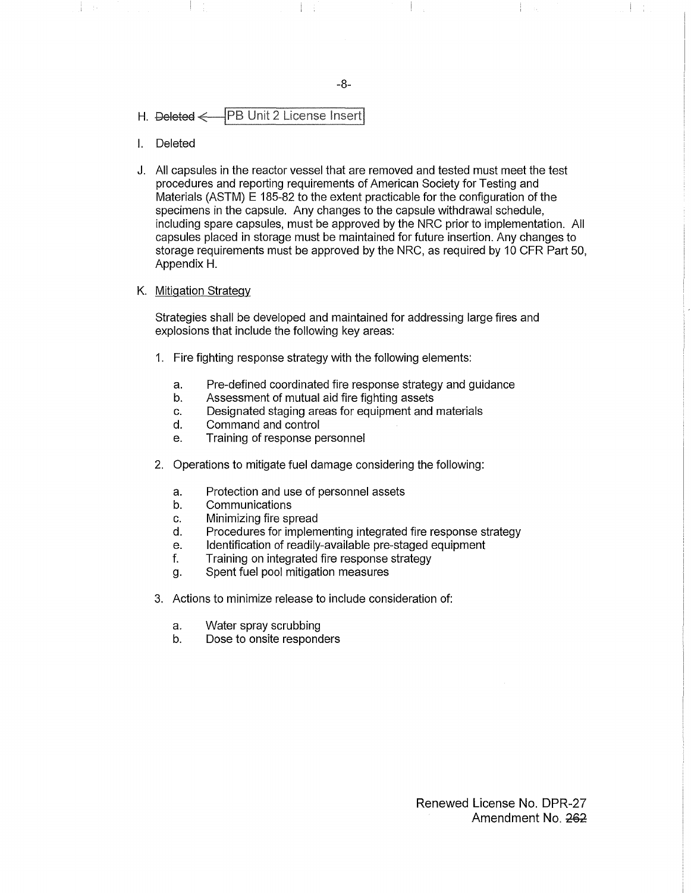### H. Deleted < PB Unit 2 License Insert

- I. Deleted
- J. All capsules in the reactor vessel that are removed and tested must meet the test procedures and reporting requirements of American Society for Testing and Materials (ASTM) E 185-82 to the extent practicable for the configuration of the specimens in the capsule. Any changes to the capsule withdrawal schedule, including spare capsules, must be approved by the NRC prior to implementation. All capsules placed in storage must be maintained for future insertion. Any changes to storage requirements must be approved by the NRC, as required by 10 CFR Part 50, Appendix H.

#### K. Mitigation Strategy

Strategies shall be developed and maintained for addressing large fires and explosions that include the following key areas:

- 1. Fire fighting response strategy with the following elements:
	- a. Pre-defined coordinated fire response strategy and guidance
	- b. Assessment of mutual aid fire fighting assets
	- c. Designated staging areas for equipment and materials
	- d. Command and control
	- e. Training of response personnel
- 2. Operations to mitigate fuel damage considering the following:
	- a. Protection and use of personnel assets
	- b. Communications
	- c. Minimizing fire spread
	- d. Procedures for implementing integrated fire response strategy
	- e. Identification of readily-available pre-staged equipment
	- f. Training on integrated fire response strategy
	- g. Spent fuel pool mitigation measures
- 3. Actions to minimize release to include consideration of:
	- a. Water spray scrubbing
	- b. Dose to onsite responders

Renewed License No. DPR-27 Amendment No. 262

-8-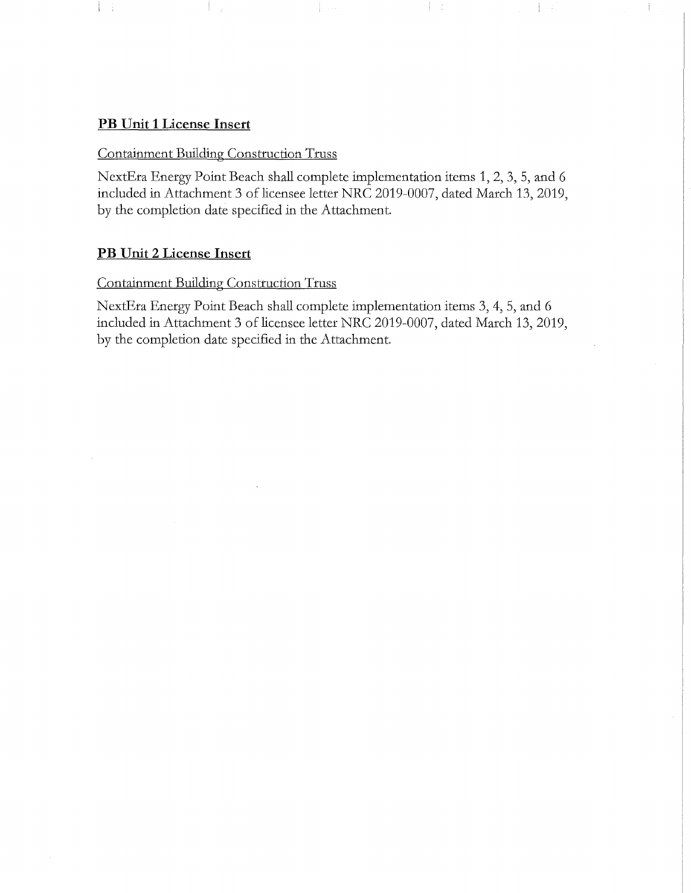## **PB Unit 1 License Insert**

 $\frac{1}{2}$ 

## Containment Building Construction Truss

NextEra Energy Point Beach shall complete implementation items 1, 2, 3, 5, and 6 included in Attachment 3 of licensee letter NRC 2019-0007, dated March 13,2019, by the completion date specified in the Attachment.

Ţ.

 $\frac{1}{2}$ 

 $\frac{1}{2}$ 

## **PB Unit 2 License Insert**

## Containment Building Construction Truss

NextEra Energy Point Beach shall complete implementation items 3, 4, 5, and 6 included in Attachment 3 of licensee letter NRC 2019-0007, dated March 13, 2019, by the completion date specified in the Attachment.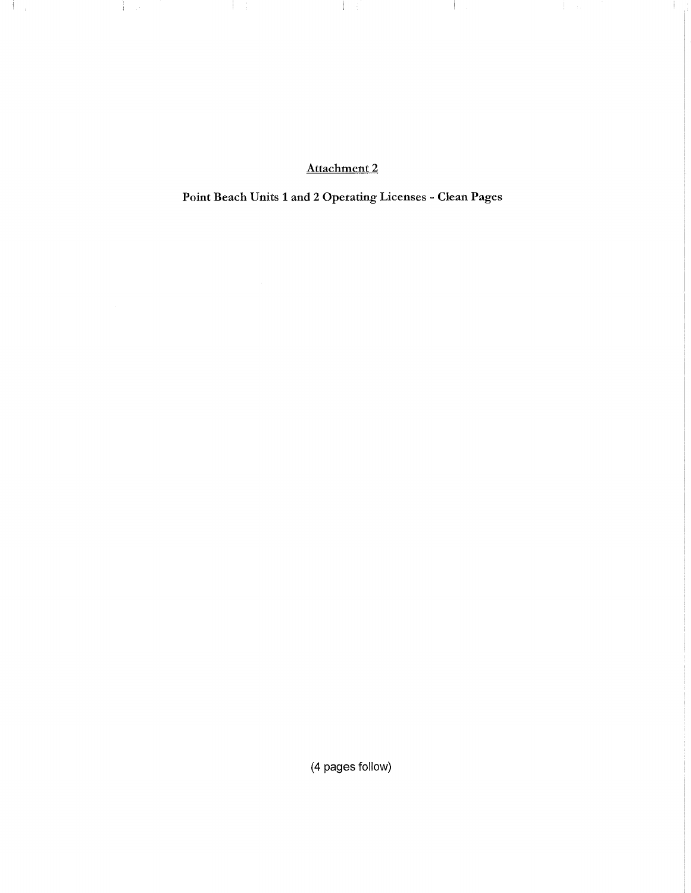Attachment 2

and the con-

 $\sim 10^{-1}$  m.

÷

 $\pm$ 

 $\frac{1}{2}$  ,  $\frac{1}{2}$ 

Point Beach Units 1 and 2 Operating Licenses- Clean Pages

(4 pages follow)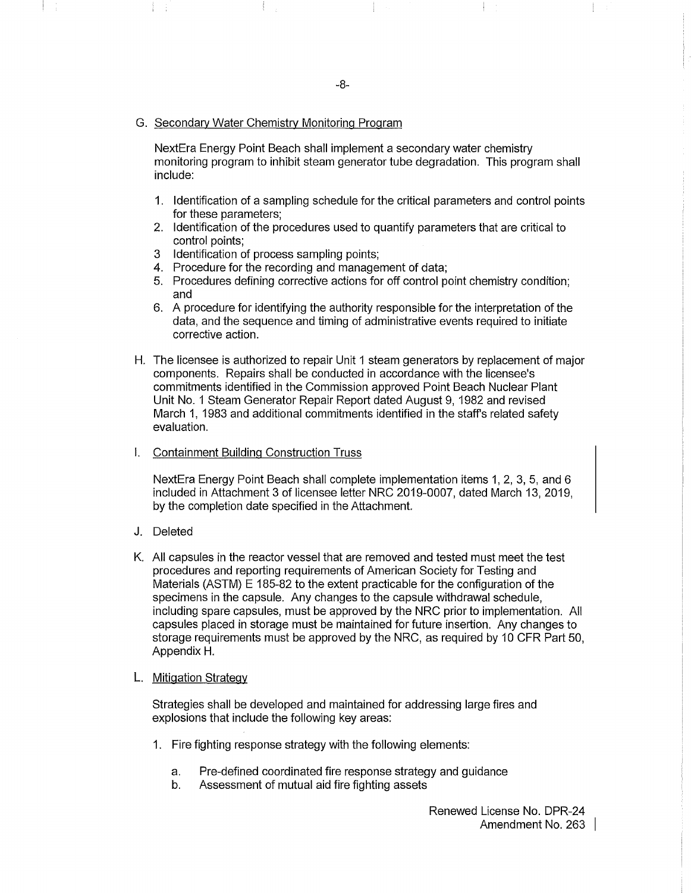#### G. Secondary Water Chemistry Monitoring Program

NextEra Energy Point Beach shall implement a secondary water chemistry monitoring program to inhibit steam generator tube degradation. This program shall include:

- 1. Identification of a sampling schedule for the critical parameters and control points for these parameters;
- 2. Identification of the procedures used to quantify parameters that are critical to control points;
- 3 Identification of process sampling points;
- 4. Procedure for the recording and management of data;
- 5. Procedures defining corrective actions for off control point chemistry condition; and
- 6. A procedure for identifying the authority responsible for the interpretation of the data, and the sequence and timing of administrative events required to initiate corrective action.
- H. The licensee is authorized to repair Unit 1 steam generators by replacement of major components. Repairs shall be conducted in accordance with the licensee's commitments identified in the Commission approved Point Beach Nuclear Plant Unit No. 1 Steam Generator Repair Report dated August 9, 1982 and revised March 1, 1983 and additional commitments identified in the staff's related safety evaluation.
- I. Containment Building Construction Truss

NextEra Energy Point Beach shall complete implementation items 1, 2, 3, 5, and 6 included in Attachment 3 of licensee letter NRC 2019-0007, dated March 13, 2019, by the completion date specified in the Attachment.

- J. Deleted
- K. All capsules in the reactor vessel that are removed and tested must meet the test procedures and reporting requirements of American Society for Testing and Materials (ASTM) E 185-82 to the extent practicable for the configuration of the specimens in the capsule. Any changes to the capsule withdrawal schedule, including spare capsules, must be approved by the NRC prior to implementation. All capsules placed in storage must be maintained for future insertion. Any changes to storage requirements must be approved by the NRC, as required by 10 CFR Part 50, Appendix H.

#### L. Mitigation Strategy

Strategies shall be developed and maintained for addressing large fires and explosions that include the following key areas:

- 1. Fire fighting response strategy with the following elements:
	- a. Pre-defined coordinated fire response strategy and guidance
	- b. Assessment of mutual aid fire fighting assets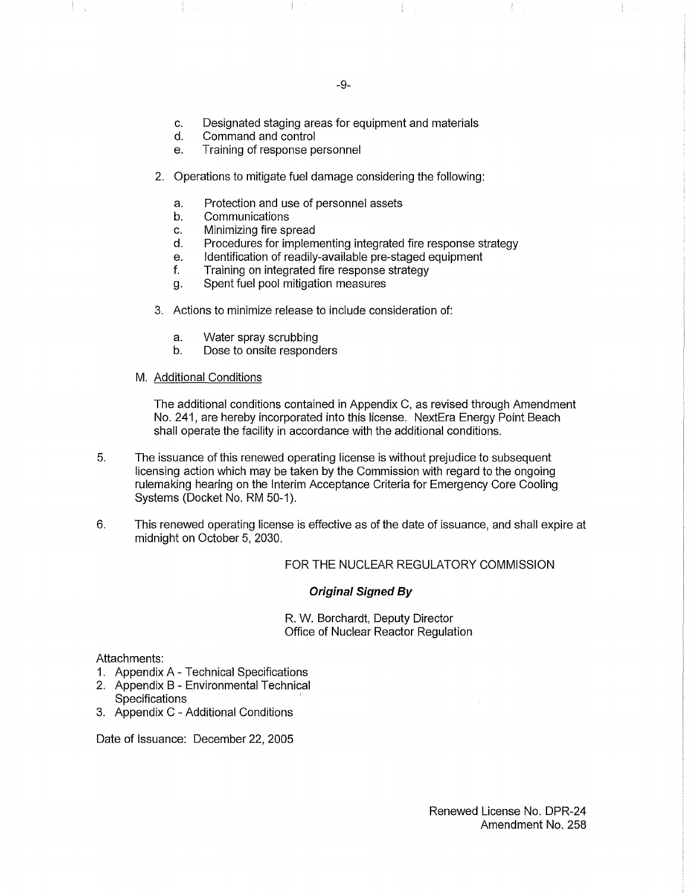Ť.

- c. Designated staging areas for equipment and materials
- d. Command and control
- e. Training of response personnel
- 2. Operations to mitigate fuel damage considering the following:
	- a. Protection and use of personnel assets
	- b. Communications
	- c. Minimizing fire spread
	- d. Procedures for implementing integrated fire response strategy
	- e. Identification of readily-available pre-staged equipment
	- f. Training on integrated fire response strategy
	- g. Spent fuel pool mitigation measures
- 3. Actions to minimize release to include consideration of:
	- a. Water spray scrubbing
	- b. Dose to onsite responders
- M. Additional Conditions

The additional conditions contained in Appendix C, as revised through Amendment No. 241, are hereby incorporated into this license. NextEra Energy Point Beach shall operate the facility in accordance with the additional conditions.

- 5. The issuance of this renewed operating license is without prejudice to subsequent licensing action which may be taken by the Commission with regard to the ongoing rulemaking hearing on the Interim Acceptance Criteria for Emergency Core Cooling Systems (Docket No. RM 50-1).
- 6. This renewed operating license is effective as of the date of issuance, and shall expire at midnight on October 5, 2030.

FOR THE NUCLEAR REGULATORY COMMISSION

#### **Original Signed By**

R. W. Borchardt, Deputy Director Office of Nuclear Reactor Regulation

#### Attachments:

- 1. Appendix A- Technical Specifications
- 2. Appendix B- Environmental Technical **Specifications**
- 3. Appendix C Additional Conditions

Date of Issuance: December 22, 2005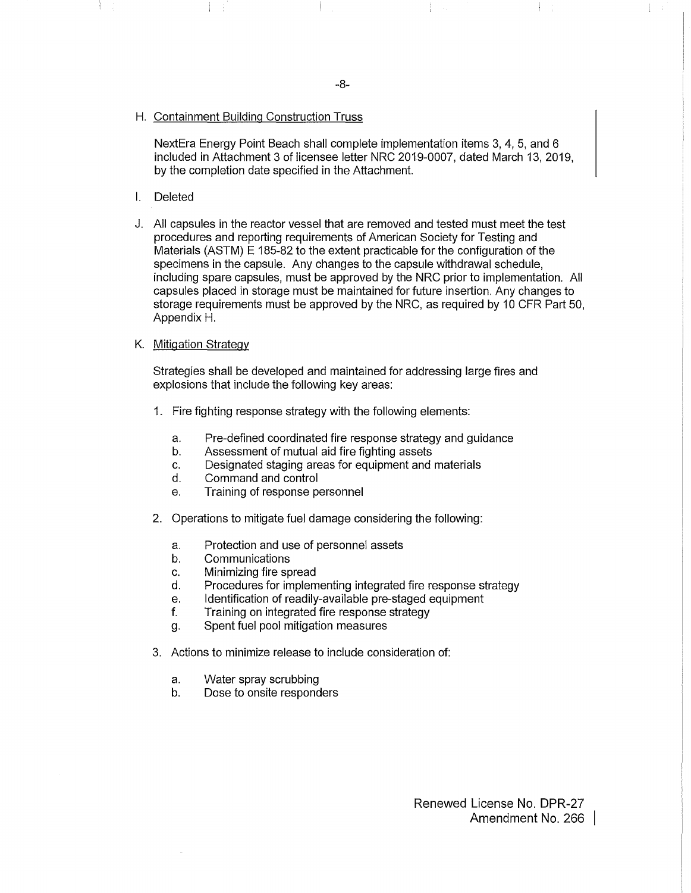#### H. Containment Building Construction Truss

NextEra Energy Point Beach shall complete implementation items 3, 4, 5, and 6 included in Attachment 3 of licensee letter NRC 2019-0007, dated March 13, 2019, by the completion date specified in the Attachment.

- I. Deleted
- J. All capsules in the reactor vessel that are removed and tested must meet the test procedures and reporting requirements of American Society for Testing and Materials (ASTM) E 185-82 to the extent practicable for the configuration of the specimens in the capsule. Any changes to the capsule withdrawal schedule, including spare capsules, must be approved by the NRC prior to implementation. All capsules placed in storage must be maintained for future insertion. Any changes to storage requirements must be approved by the NRC, as required by 10 CFR Part 50, Appendix H.
- K. Mitigation Strategy

Strategies shall be developed and maintained for addressing large fires and explosions that include the following key areas:

- 1. Fire fighting response strategy with the following elements:
	- a. Pre-defined coordinated fire response strategy and guidance
	- b. Assessment of mutual aid fire fighting assets
	- c. Designated staging areas for equipment and materials
	- d. Command and control
	- e. Training of response personnel
- 2. Operations to mitigate fuel damage considering the following:
	- a. Protection and use of personnel assets
	- b. Communications
	- c. Minimizing fire spread
	- d. Procedures for implementing integrated fire response strategy
	- e. Identification of readily-available pre-staged equipment
	- f. Training on integrated fire response strategy
	- g. Spent fuel pool mitigation measures
- 3. Actions to minimize release to include consideration of:
	- a. Water spray scrubbing
	- b. Dose to onsite responders

Renewed License No. DPR-27 Amendment No. 266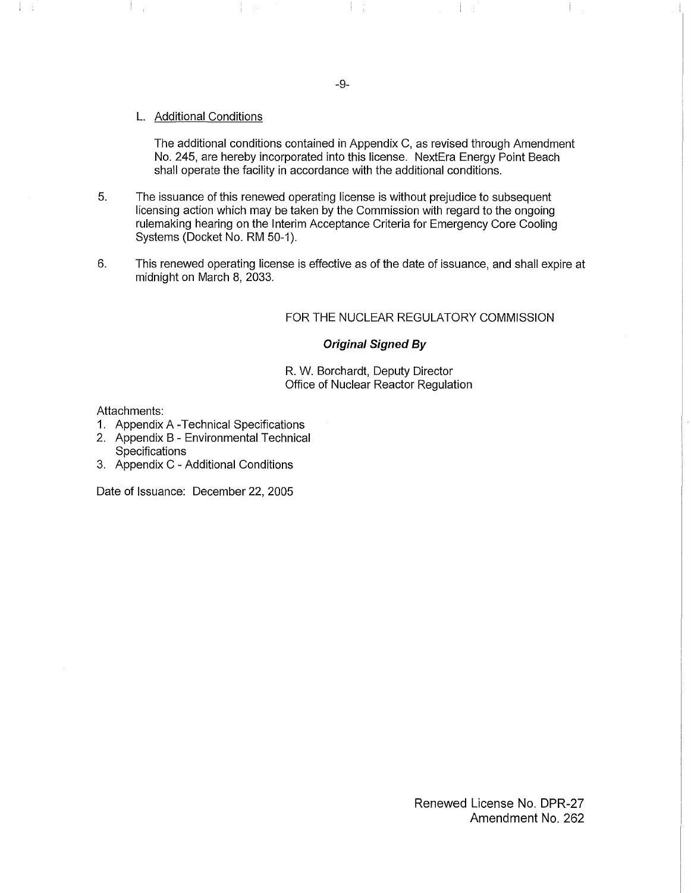L. Additional Conditions

The additional conditions contained in Appendix C, as revised through Amendment No. 245, are hereby incorporated into this license. NextEra Energy Point Beach shall operate the facility in accordance with the additional conditions.

- 5. The issuance of this renewed operating license is without prejudice to subsequent licensing action which may be taken by the Commission with regard to the ongoing rulemaking hearing on the Interim Acceptance Criteria for Emergency Core Cooling Systems (Docket No. RM 50-1).
- 6. This renewed operating license is effective as of the date of issuance, and shall expire at midnight on March 8, 2033.

### FOR THE NUCLEAR REGULATORY COMMISSION

 $\mathbb{R}^n$ 

### **Original Signed By**

R. W. Borchardt, Deputy Director Office of Nuclear Reactor Regulation

Attachments:

4

- 1. Appendix A -Technical Specifications
- 2. Appendix B- Environmental Technical
- **Specifications**
- 3. Appendix C Additional Conditions

Date of Issuance: December 22, 2005

-9-

Renewed License No. DPR-27 Amendment No. 262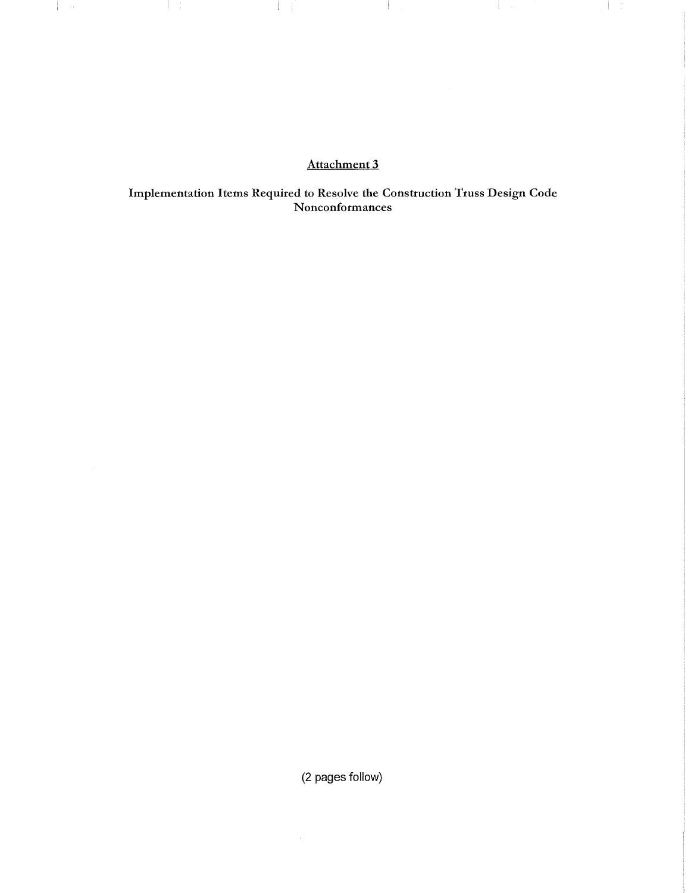# Attachment 3

and the control of the con-

 $\mathcal{A} = \mathcal{A}$ 

a ba

 $\pm 1/4$ 

 $\frac{1}{2}$  and

 $\sim 10^6$ 

**1990年** 

Implementation Items Required to Resolve the Construction Truss Design Code Nonconformances

(2 pages follow)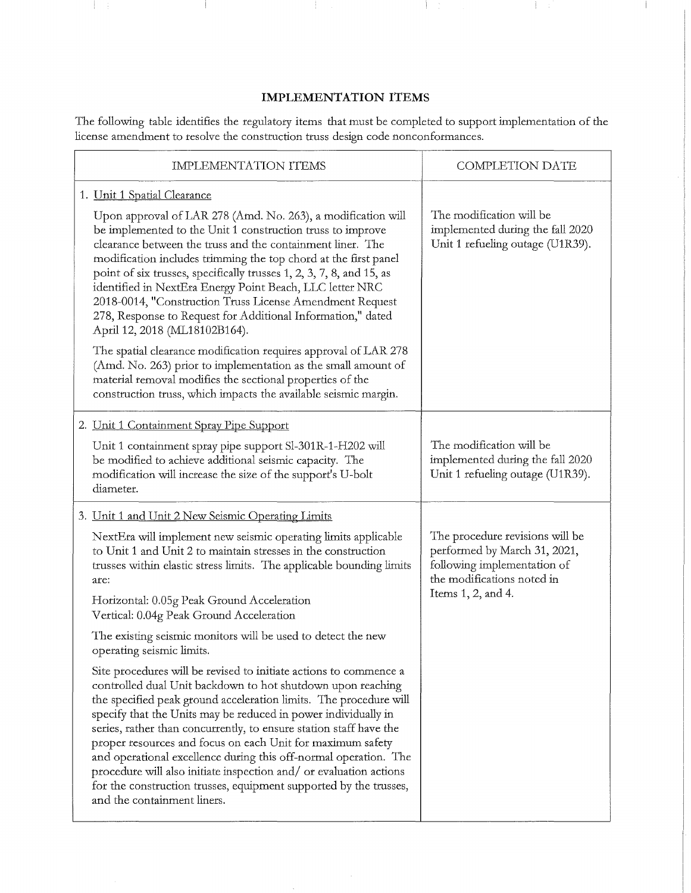### **IMPLEMENTATION ITEMS**

 $\pm$ 

 $\frac{1}{2}$  .

Ť

 $\mathcal{A}$ 

 $\mathbb{R}$ 

 $\overline{\phantom{a}}$ 

The following table identifies the regulatory items that must be completed to support implementation of the license amendment to resolve the construction truss design code nonconformances.

| IMPLEMENTATION ITEMS                                                                                                                                                                                                                                                                                                                                                                                                                                                                                                                                                                                                                                                                                                                                                                                                                                                                                                                                                                                                                                                                                                     | <b>COMPLETION DATE</b>                                                                                                                             |
|--------------------------------------------------------------------------------------------------------------------------------------------------------------------------------------------------------------------------------------------------------------------------------------------------------------------------------------------------------------------------------------------------------------------------------------------------------------------------------------------------------------------------------------------------------------------------------------------------------------------------------------------------------------------------------------------------------------------------------------------------------------------------------------------------------------------------------------------------------------------------------------------------------------------------------------------------------------------------------------------------------------------------------------------------------------------------------------------------------------------------|----------------------------------------------------------------------------------------------------------------------------------------------------|
| 1. Unit 1 Spatial Clearance<br>Upon approval of LAR 278 (Amd. No. 263), a modification will<br>be implemented to the Unit 1 construction truss to improve<br>clearance between the truss and the containment liner. The<br>modification includes trimming the top chord at the first panel<br>point of six trusses, specifically trusses 1, 2, 3, 7, 8, and 15, as<br>identified in NextEra Energy Point Beach, LLC letter NRC<br>2018-0014, "Construction Truss License Amendment Request<br>278, Response to Request for Additional Information," dated<br>April 12, 2018 (ML18102B164).<br>The spatial clearance modification requires approval of LAR 278<br>(Amd. No. 263) prior to implementation as the small amount of<br>material removal modifies the sectional properties of the<br>construction truss, which impacts the available seismic margin.                                                                                                                                                                                                                                                           | The modification will be<br>implemented during the fall 2020<br>Unit 1 refueling outage (U1R39).                                                   |
| 2. Unit 1 Containment Spray Pipe Support<br>Unit 1 containment spray pipe support Sl-301R-1-H202 will<br>be modified to achieve additional seismic capacity. The<br>modification will increase the size of the support's U-bolt<br>diameter.                                                                                                                                                                                                                                                                                                                                                                                                                                                                                                                                                                                                                                                                                                                                                                                                                                                                             | The modification will be<br>implemented during the fall 2020<br>Unit 1 refueling outage (U1R39).                                                   |
| 3. Unit 1 and Unit 2 New Seismic Operating Limits<br>NextEra will implement new seismic operating limits applicable<br>to Unit 1 and Unit 2 to maintain stresses in the construction<br>trusses within elastic stress limits. The applicable bounding limits<br>are:<br>Horizontal: 0.05g Peak Ground Acceleration<br>Vertical: 0.04g Peak Ground Acceleration<br>The existing seismic monitors will be used to detect the new<br>operating seismic limits.<br>Site procedures will be revised to initiate actions to commence a<br>controlled dual Unit backdown to hot shutdown upon reaching<br>the specified peak ground acceleration limits. The procedure will<br>specify that the Units may be reduced in power individually in<br>series, rather than concurrently, to ensure station staff have the<br>proper resources and focus on each Unit for maximum safety<br>and operational excellence during this off-normal operation. The<br>procedure will also initiate inspection and/ or evaluation actions<br>for the construction trusses, equipment supported by the trusses,<br>and the containment liners. | The procedure revisions will be<br>performed by March 31, 2021,<br>following implementation of<br>the modifications noted in<br>Items 1, 2, and 4. |

l,